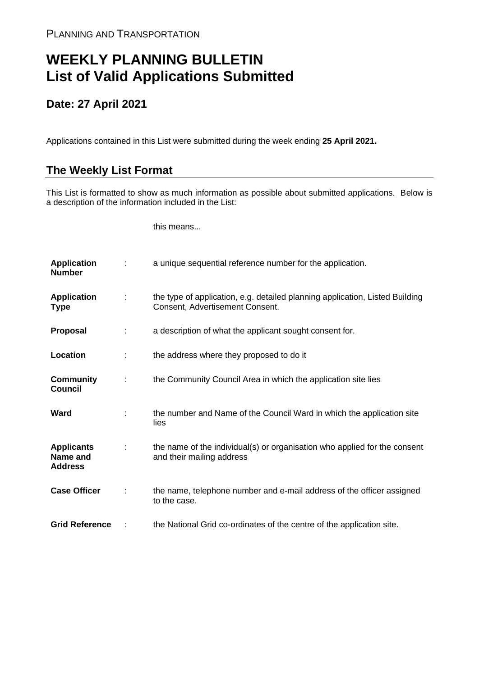## **WEEKLY PLANNING BULLETIN List of Valid Applications Submitted**

## **Date: 27 April 2021**

Applications contained in this List were submitted during the week ending **25 April 2021.**

## **The Weekly List Format**

This List is formatted to show as much information as possible about submitted applications. Below is a description of the information included in the List:

this means...

| <b>Application</b><br><b>Number</b>             |   | a unique sequential reference number for the application.                                                       |
|-------------------------------------------------|---|-----------------------------------------------------------------------------------------------------------------|
| <b>Application</b><br>Type                      | ÷ | the type of application, e.g. detailed planning application, Listed Building<br>Consent, Advertisement Consent. |
| <b>Proposal</b>                                 |   | a description of what the applicant sought consent for.                                                         |
| Location                                        |   | the address where they proposed to do it                                                                        |
| <b>Community</b><br><b>Council</b>              |   | the Community Council Area in which the application site lies                                                   |
| Ward                                            |   | the number and Name of the Council Ward in which the application site<br>lies                                   |
| <b>Applicants</b><br>Name and<br><b>Address</b> |   | the name of the individual(s) or organisation who applied for the consent<br>and their mailing address          |
| <b>Case Officer</b>                             |   | the name, telephone number and e-mail address of the officer assigned<br>to the case.                           |
| <b>Grid Reference</b>                           |   | the National Grid co-ordinates of the centre of the application site.                                           |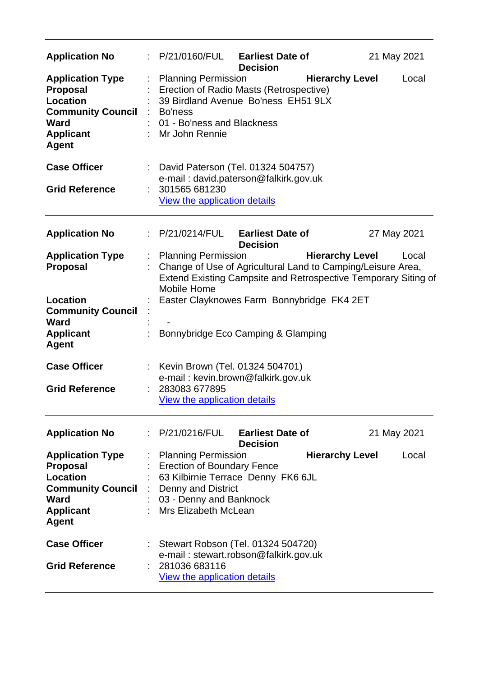| <b>Application No</b>                                                                                                                 |                           | : P/21/0160/FUL                                                                                                                                                                | <b>Earliest Date of</b><br><b>Decision</b> |                        | 21 May 2021 |       |
|---------------------------------------------------------------------------------------------------------------------------------------|---------------------------|--------------------------------------------------------------------------------------------------------------------------------------------------------------------------------|--------------------------------------------|------------------------|-------------|-------|
| <b>Application Type</b><br><b>Proposal</b><br>Location<br><b>Community Council</b><br>Ward<br><b>Applicant</b><br><b>Agent</b>        |                           | <b>Planning Permission</b><br>Erection of Radio Masts (Retrospective)<br>39 Birdland Avenue Bo'ness EH51 9LX<br>Bo'ness<br>01 - Bo'ness and Blackness<br>: Mr John Rennie      |                                            | <b>Hierarchy Level</b> |             | Local |
| <b>Case Officer</b><br><b>Grid Reference</b>                                                                                          | $\mathbb{Z}^{\mathbb{Z}}$ | David Paterson (Tel. 01324 504757)<br>e-mail: david.paterson@falkirk.gov.uk<br>301565 681230<br>View the application details                                                   |                                            |                        |             |       |
| <b>Application No</b>                                                                                                                 |                           | : P/21/0214/FUL                                                                                                                                                                | <b>Earliest Date of</b><br><b>Decision</b> |                        | 27 May 2021 |       |
| <b>Application Type</b><br><b>Proposal</b>                                                                                            |                           | : Planning Permission<br>Change of Use of Agricultural Land to Camping/Leisure Area,<br>Extend Existing Campsite and Retrospective Temporary Siting of<br>Mobile Home          |                                            | <b>Hierarchy Level</b> |             | Local |
| Location<br><b>Community Council</b><br><b>Ward</b><br><b>Applicant</b>                                                               |                           | Easter Clayknowes Farm Bonnybridge FK4 2ET<br>Bonnybridge Eco Camping & Glamping                                                                                               |                                            |                        |             |       |
| <b>Agent</b><br><b>Case Officer</b><br><b>Grid Reference</b>                                                                          |                           | Kevin Brown (Tel. 01324 504701)<br>e-mail: kevin.brown@falkirk.gov.uk<br>283083 677895<br>View the application details                                                         |                                            |                        |             |       |
| <b>Application No</b>                                                                                                                 |                           | : P/21/0216/FUL                                                                                                                                                                | <b>Earliest Date of</b><br><b>Decision</b> |                        | 21 May 2021 |       |
| <b>Application Type</b><br><b>Proposal</b><br>Location<br><b>Community Council</b><br><b>Ward</b><br><b>Applicant</b><br><b>Agent</b> |                           | <b>Planning Permission</b><br><b>Erection of Boundary Fence</b><br>63 Kilbirnie Terrace Denny FK6 6JL<br>Denny and District<br>03 - Denny and Banknock<br>Mrs Elizabeth McLean |                                            | <b>Hierarchy Level</b> |             | Local |
| <b>Case Officer</b><br><b>Grid Reference</b>                                                                                          |                           | Stewart Robson (Tel. 01324 504720)<br>e-mail: stewart.robson@falkirk.gov.uk<br>281036 683116<br>View the application details                                                   |                                            |                        |             |       |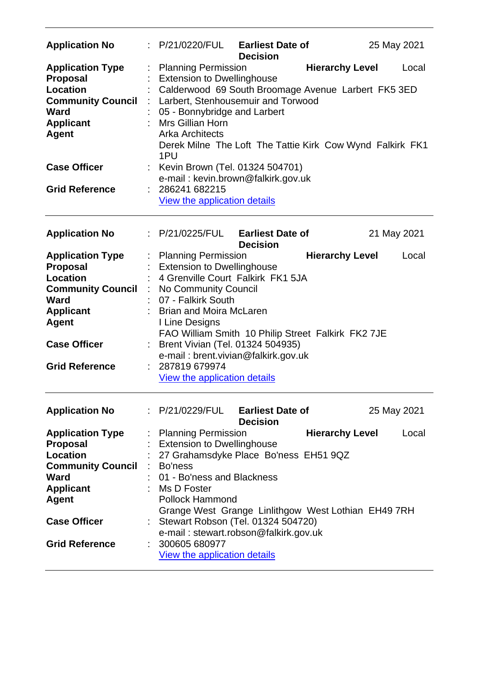| <b>Application No</b>                                                                                                                                                          | P/21/0220/FUL Earliest Date of<br>25 May 2021<br><b>Decision</b>                                                                                                                                                                                                                                                                                                                                                                 |  |
|--------------------------------------------------------------------------------------------------------------------------------------------------------------------------------|----------------------------------------------------------------------------------------------------------------------------------------------------------------------------------------------------------------------------------------------------------------------------------------------------------------------------------------------------------------------------------------------------------------------------------|--|
| <b>Application Type</b><br><b>Proposal</b><br><b>Location</b><br><b>Community Council</b><br><b>Ward</b><br><b>Applicant</b><br><b>Agent</b>                                   | <b>Hierarchy Level</b><br><b>Planning Permission</b><br>Local<br><b>Extension to Dwellinghouse</b><br>Calderwood 69 South Broomage Avenue Larbert FK5 3ED<br>Larbert, Stenhousemuir and Torwood<br>05 - Bonnybridge and Larbert<br>Mrs Gillian Horn<br><b>Arka Architects</b><br>Derek Milne The Loft The Tattie Kirk Cow Wynd Falkirk FK1<br>1PU                                                                                |  |
| <b>Case Officer</b>                                                                                                                                                            | Kevin Brown (Tel. 01324 504701)<br>e-mail: kevin.brown@falkirk.gov.uk                                                                                                                                                                                                                                                                                                                                                            |  |
| <b>Grid Reference</b>                                                                                                                                                          | 286241 682215<br><b>View the application details</b>                                                                                                                                                                                                                                                                                                                                                                             |  |
| <b>Application No</b>                                                                                                                                                          | : P/21/0225/FUL Earliest Date of<br>21 May 2021<br><b>Decision</b>                                                                                                                                                                                                                                                                                                                                                               |  |
| <b>Application Type</b><br><b>Proposal</b><br>Location<br><b>Community Council</b><br>Ward<br><b>Applicant</b><br><b>Agent</b><br><b>Case Officer</b><br><b>Grid Reference</b> | <b>Hierarchy Level</b><br><b>Planning Permission</b><br>Local<br><b>Extension to Dwellinghouse</b><br>4 Grenville Court Falkirk FK1 5JA<br>÷<br>No Community Council<br>07 - Falkirk South<br><b>Brian and Moira McLaren</b><br>I Line Designs<br>FAO William Smith 10 Philip Street Falkirk FK2 7JE<br>Brent Vivian (Tel. 01324 504935)<br>e-mail: brent.vivian@falkirk.gov.uk<br>287819 679974<br>View the application details |  |
| <b>Application No</b>                                                                                                                                                          | $\therefore$ P/21/0229/FUL Earliest Date of<br>25 May 2021<br><b>Decision</b>                                                                                                                                                                                                                                                                                                                                                    |  |
| <b>Application Type</b><br><b>Proposal</b><br>Location<br><b>Community Council</b><br>Ward<br><b>Applicant</b><br>Agent<br><b>Case Officer</b><br><b>Grid Reference</b>        | <b>Hierarchy Level</b><br><b>Planning Permission</b><br>Local<br><b>Extension to Dwellinghouse</b><br>27 Grahamsdyke Place Bo'ness EH51 9QZ<br>Bo'ness<br>01 - Bo'ness and Blackness<br>Ms D Foster<br><b>Pollock Hammond</b><br>Grange West Grange Linlithgow West Lothian EH49 7RH<br>Stewart Robson (Tel. 01324 504720)<br>e-mail: stewart.robson@falkirk.gov.uk<br>300605 680977<br>View the application details             |  |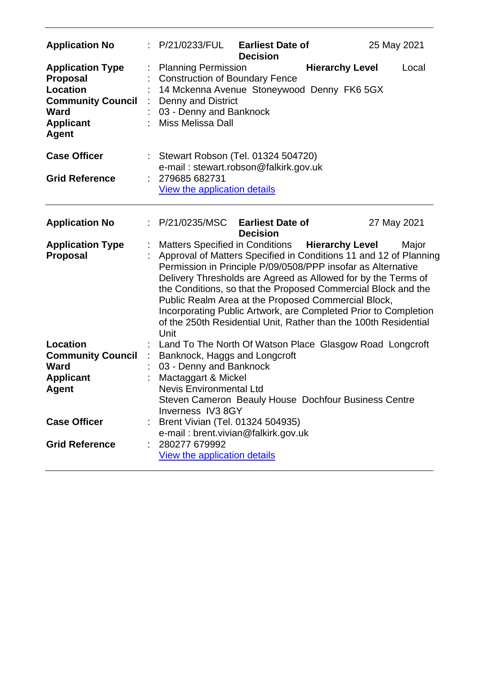| <b>Application No</b>                                                                                                                 | P/21/0233/FUL                                                                                                                                                                                                                                                                                                                                                                                                                                                                                                                | <b>Earliest Date of</b><br><b>Decision</b> |                        | 25 May 2021 |       |
|---------------------------------------------------------------------------------------------------------------------------------------|------------------------------------------------------------------------------------------------------------------------------------------------------------------------------------------------------------------------------------------------------------------------------------------------------------------------------------------------------------------------------------------------------------------------------------------------------------------------------------------------------------------------------|--------------------------------------------|------------------------|-------------|-------|
| <b>Application Type</b><br><b>Proposal</b><br><b>Location</b><br><b>Community Council</b><br>Ward<br><b>Applicant</b><br><b>Agent</b> | <b>Planning Permission</b><br><b>Construction of Boundary Fence</b><br>14 Mckenna Avenue Stoneywood Denny FK6 5GX<br>Denny and District<br>03 - Denny and Banknock<br><b>Miss Melissa Dall</b>                                                                                                                                                                                                                                                                                                                               |                                            | <b>Hierarchy Level</b> |             | Local |
| <b>Case Officer</b>                                                                                                                   | Stewart Robson (Tel. 01324 504720)<br>e-mail: stewart.robson@falkirk.gov.uk                                                                                                                                                                                                                                                                                                                                                                                                                                                  |                                            |                        |             |       |
| <b>Grid Reference</b>                                                                                                                 | 279685 682731<br>View the application details                                                                                                                                                                                                                                                                                                                                                                                                                                                                                |                                            |                        |             |       |
| <b>Application No</b>                                                                                                                 | : P/21/0235/MSC                                                                                                                                                                                                                                                                                                                                                                                                                                                                                                              | <b>Earliest Date of</b><br><b>Decision</b> |                        | 27 May 2021 |       |
| <b>Application Type</b><br>Proposal                                                                                                   | Matters Specified in Conditions Hierarchy Level<br>Approval of Matters Specified in Conditions 11 and 12 of Planning<br>Permission in Principle P/09/0508/PPP insofar as Alternative<br>Delivery Thresholds are Agreed as Allowed for by the Terms of<br>the Conditions, so that the Proposed Commercial Block and the<br>Public Realm Area at the Proposed Commercial Block,<br>Incorporating Public Artwork, are Completed Prior to Completion<br>of the 250th Residential Unit, Rather than the 100th Residential<br>Unit |                                            |                        |             | Major |
| <b>Location</b>                                                                                                                       | Land To The North Of Watson Place Glasgow Road Longcroft                                                                                                                                                                                                                                                                                                                                                                                                                                                                     |                                            |                        |             |       |
| <b>Community Council</b><br>Ward                                                                                                      | Banknock, Haggs and Longcroft<br>03 - Denny and Banknock                                                                                                                                                                                                                                                                                                                                                                                                                                                                     |                                            |                        |             |       |
| <b>Applicant</b>                                                                                                                      | Mactaggart & Mickel                                                                                                                                                                                                                                                                                                                                                                                                                                                                                                          |                                            |                        |             |       |
| <b>Agent</b>                                                                                                                          | <b>Nevis Environmental Ltd</b><br>Steven Cameron Beauly House Dochfour Business Centre<br>Inverness IV3 8GY                                                                                                                                                                                                                                                                                                                                                                                                                  |                                            |                        |             |       |
| <b>Case Officer</b>                                                                                                                   | Brent Vivian (Tel. 01324 504935)<br>e-mail: brent.vivian@falkirk.gov.uk                                                                                                                                                                                                                                                                                                                                                                                                                                                      |                                            |                        |             |       |
| <b>Grid Reference</b>                                                                                                                 | 280277 679992<br><b>View the application details</b>                                                                                                                                                                                                                                                                                                                                                                                                                                                                         |                                            |                        |             |       |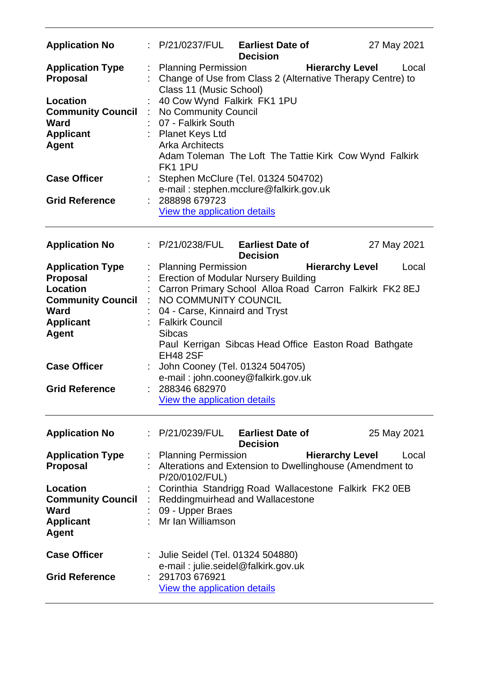| <b>Application No</b>                                                                                                                                                                 |         | : P/21/0237/FUL Earliest Date of                                                                                                                                                                                                                                                                                                                                                                                                           | <b>Decision</b>                            |                        | 27 May 2021 |
|---------------------------------------------------------------------------------------------------------------------------------------------------------------------------------------|---------|--------------------------------------------------------------------------------------------------------------------------------------------------------------------------------------------------------------------------------------------------------------------------------------------------------------------------------------------------------------------------------------------------------------------------------------------|--------------------------------------------|------------------------|-------------|
| <b>Application Type</b><br><b>Proposal</b><br>Location<br><b>Community Council</b><br><b>Ward</b><br><b>Applicant</b><br><b>Agent</b><br><b>Case Officer</b><br><b>Grid Reference</b> | ÷.<br>÷ | <b>Planning Permission</b><br>Change of Use from Class 2 (Alternative Therapy Centre) to<br>Class 11 (Music School)<br>40 Cow Wynd Falkirk FK1 1PU<br>No Community Council<br>07 - Falkirk South<br>: Planet Keys Ltd<br><b>Arka Architects</b><br>Adam Toleman The Loft The Tattie Kirk Cow Wynd Falkirk<br>FK11PU<br>Stephen McClure (Tel. 01324 504702)<br>e-mail: stephen.mcclure@falkirk.gov.uk<br>288898 679723                      |                                            | <b>Hierarchy Level</b> | Local       |
|                                                                                                                                                                                       |         | <b>View the application details</b>                                                                                                                                                                                                                                                                                                                                                                                                        |                                            |                        |             |
| <b>Application No</b>                                                                                                                                                                 |         | $\therefore$ P/21/0238/FUL Earliest Date of                                                                                                                                                                                                                                                                                                                                                                                                | <b>Decision</b>                            |                        | 27 May 2021 |
| <b>Application Type</b><br><b>Proposal</b><br>Location<br><b>Community Council</b><br>Ward<br><b>Applicant</b><br><b>Agent</b><br><b>Case Officer</b><br><b>Grid Reference</b>        | ÷       | : Planning Permission<br><b>Erection of Modular Nursery Building</b><br>Carron Primary School Alloa Road Carron Falkirk FK2 8EJ<br>NO COMMUNITY COUNCIL<br>04 - Carse, Kinnaird and Tryst<br><b>Falkirk Council</b><br><b>Sibcas</b><br>Paul Kerrigan Sibcas Head Office Easton Road Bathgate<br><b>EH48 2SF</b><br>John Cooney (Tel. 01324 504705)<br>e-mail: john.cooney@falkirk.gov.uk<br>288346 682970<br>View the application details |                                            | <b>Hierarchy Level</b> | Local       |
| <b>Application No</b>                                                                                                                                                                 |         | : P/21/0239/FUL                                                                                                                                                                                                                                                                                                                                                                                                                            | <b>Earliest Date of</b><br><b>Decision</b> |                        | 25 May 2021 |
| <b>Application Type</b><br><b>Proposal</b>                                                                                                                                            |         | <b>Planning Permission</b><br>Alterations and Extension to Dwellinghouse (Amendment to<br>P/20/0102/FUL)                                                                                                                                                                                                                                                                                                                                   |                                            | <b>Hierarchy Level</b> | Local       |
| <b>Location</b><br><b>Community Council</b><br><b>Ward</b><br><b>Applicant</b><br><b>Agent</b>                                                                                        |         | Corinthia Standrigg Road Wallacestone Falkirk FK2 0EB<br>Reddingmuirhead and Wallacestone<br>09 - Upper Braes<br>Mr Ian Williamson                                                                                                                                                                                                                                                                                                         |                                            |                        |             |
| <b>Case Officer</b><br><b>Grid Reference</b>                                                                                                                                          |         | Julie Seidel (Tel. 01324 504880)<br>e-mail: julie.seidel@falkirk.gov.uk<br>291703 676921<br><b>View the application details</b>                                                                                                                                                                                                                                                                                                            |                                            |                        |             |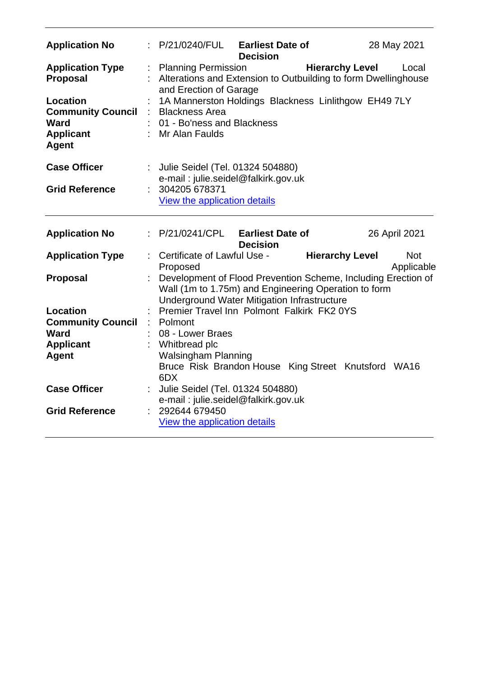| <b>Application No</b>                                                                   |    | : P/21/0240/FUL Earliest Date of<br>28 May 2021<br><b>Decision</b>                                                                                                   |
|-----------------------------------------------------------------------------------------|----|----------------------------------------------------------------------------------------------------------------------------------------------------------------------|
| <b>Application Type</b><br><b>Proposal</b>                                              |    | : Planning Permission<br><b>Hierarchy Level</b><br>Local<br>Alterations and Extension to Outbuilding to form Dwellinghouse<br>and Erection of Garage                 |
| Location<br><b>Community Council</b><br><b>Ward</b><br><b>Applicant</b><br><b>Agent</b> | ÷. | 1A Mannerston Holdings Blackness Linlithgow EH49 7LY<br><b>Blackness Area</b><br>01 - Bo'ness and Blackness<br>: Mr Alan Faulds                                      |
| <b>Case Officer</b>                                                                     |    | Julie Seidel (Tel. 01324 504880)<br>e-mail: julie.seidel@falkirk.gov.uk                                                                                              |
| <b>Grid Reference</b>                                                                   |    | 304205 678371<br><b>View the application details</b>                                                                                                                 |
| <b>Application No</b>                                                                   |    | : P/21/0241/CPL<br><b>Earliest Date of</b><br>26 April 2021<br><b>Decision</b>                                                                                       |
| <b>Application Type</b>                                                                 |    | Certificate of Lawful Use -<br><b>Hierarchy Level</b><br><b>Not</b><br>Applicable<br>Proposed                                                                        |
| <b>Proposal</b>                                                                         |    | Development of Flood Prevention Scheme, Including Erection of<br>Wall (1m to 1.75m) and Engineering Operation to form<br>Underground Water Mitigation Infrastructure |
| Location                                                                                |    | Premier Travel Inn Polmont Falkirk FK2 0YS                                                                                                                           |
| <b>Community Council</b>                                                                |    | Polmont                                                                                                                                                              |
| <b>Ward</b>                                                                             |    | 08 - Lower Braes                                                                                                                                                     |
| <b>Applicant</b><br><b>Agent</b>                                                        |    | Whitbread plc<br><b>Walsingham Planning</b>                                                                                                                          |
|                                                                                         |    | Bruce Risk Brandon House King Street Knutsford WA16<br>6DX                                                                                                           |
| <b>Case Officer</b>                                                                     |    | Julie Seidel (Tel. 01324 504880)<br>e-mail: julie.seidel@falkirk.gov.uk                                                                                              |
| <b>Grid Reference</b>                                                                   |    | 292644 679450<br><b>View the application details</b>                                                                                                                 |